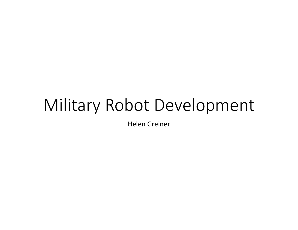# Military Robot Development

Helen Greiner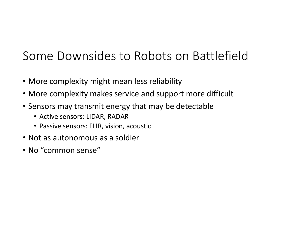#### Some Downsides to Robots on Battlefield

- More complexity might mean less reliability
- More complexity makes service and support more difficult
- Sensors may transmit energy that may be detectable
	- Active sensors: LIDAR, RADAR
	- Passive sensors: FLIR, vision, acoustic
- Not as autonomous as a soldier
- No "common sense"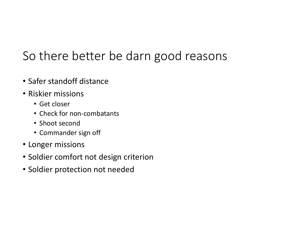# So there better be darn good reasons

- Safer standoff distance
- Riskier missions
	- Get closer
	- Check for non‐combatants
	- Shoot second
	- Commander sign off
- Longer missions
- Soldier comfort not design criterion
- Soldier protection not needed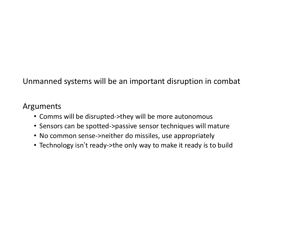Unmanned systems will be an important disruption in combat

#### Arguments

- Comms will be disrupted‐>they will be more autonomous
- Sensors can be spotted‐>passive sensor techniques will mature
- No common sense‐>neither do missiles, use appropriately
- Technology isn't ready‐>the only way to make it ready is to build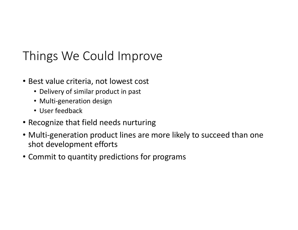### Things We Could Improve

- Best value criteria, not lowest cost
	- Delivery of similar product in past
	- Multi‐generation design
	- User feedback
- Recognize that field needs nurturing
- Multi-generation product lines are more likely to succeed than one shot development efforts
- Commit to quantity predictions for programs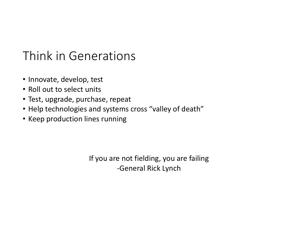#### Think in Generations

- Innovate, develop, test
- Roll out to select units
- Test, upgrade, purchase, repeat
- Help technologies and systems cross "valley of death"
- Keep production lines running

If you are not fielding, you are failing ‐General Rick Lynch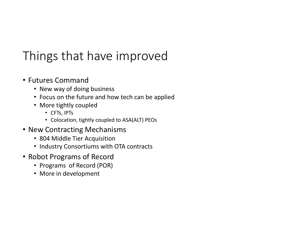# Things that have improved

- Futures Command
	- New way of doing business
	- Focus on the future and how tech can be applied
	- More tightly coupled
		- CFTs, IPTs
		- Colocation, tightly coupled to ASA(ALT) PEOs
- New Contracting Mechanisms
	- 804 Middle Tier Acquisition
	- Industry Consortiums with OTA contracts
- Robot Programs of Record
	- Programs of Record (POR)
	- More in development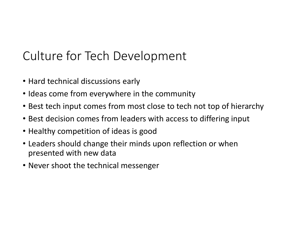#### Culture for Tech Development

- Hard technical discussions early
- Ideas come from everywhere in the community
- Best tech input comes from most close to tech not top of hierarchy
- Best decision comes from leaders with access to differing input
- Healthy competition of ideas is good
- Leaders should change their minds upon reflection or when presented with new data
- Never shoot the technical messenger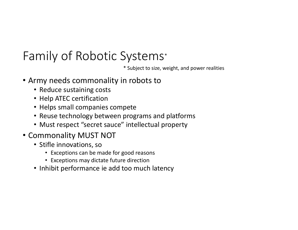### Family of Robotic Systems \*

\* Subject to size, weight, and power realities

- Army needs commonality in robots to
	- Reduce sustaining costs
	- Help ATEC certification
	- Helps small companies compete
	- Reuse technology between programs and platforms
	- Must respect "secret sauce" intellectual property
- Commonality MUST NOT
	- Stifle innovations, so
		- Exceptions can be made for good reasons
		- Exceptions may dictate future direction
	- Inhibit performance ie add too much latency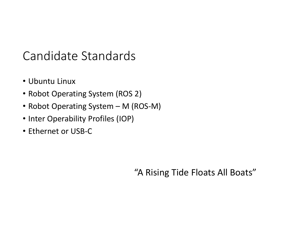#### Candidate Standards

- Ubuntu Linux
- Robot Operating System (ROS 2)
- Robot Operating System M (ROS‐M)
- Inter Operability Profiles (IOP)
- Ethernet or USB‐C

"A Rising Tide Floats All Boats"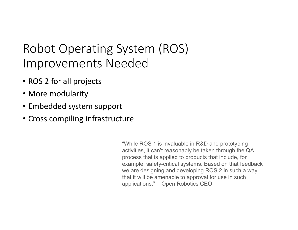### Robot Operating System (ROS) Improvements Needed

- ROS 2 for all projects
- More modularity
- Embedded system support
- Cross compiling infrastructure

"While ROS 1 is invaluable in R&D and prototyping activities, it can't reasonably be taken through the QA process that is applied to products that include, for example, safety-critical systems. Based on that feedback we are designing and developing ROS 2 in such a way that it will be amenable to approval for use in such applications." - Open Robotics CEO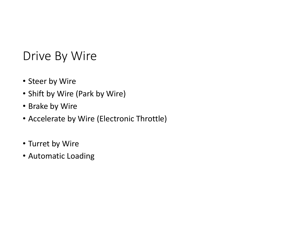#### Drive By Wire

- Steer by Wire
- Shift by Wire (Park by Wire)
- Brake by Wire
- Accelerate by Wire (Electronic Throttle)
- Turret by Wire
- Automatic Loading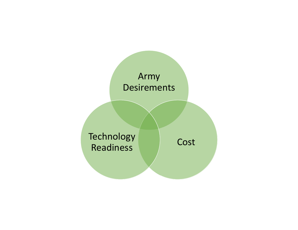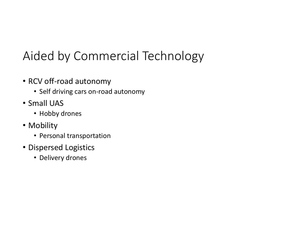# Aided by Commercial Technology

- RCV off‐road autonomy
	- Self driving cars on‐road autonomy
- Small UAS
	- Hobby drones
- Mobility
	- Personal transportation
- Dispersed Logistics
	- Delivery drones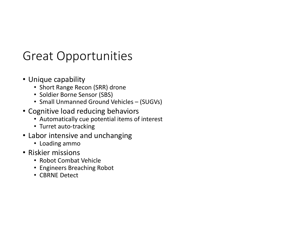#### Great Opportunities

- Unique capability
	- Short Range Recon (SRR) drone
	- Soldier Borne Sensor (SBS)
	- Small Unmanned Ground Vehicles (SUGVs)
- Cognitive load reducing behaviors
	- Automatically cue potential items of interest
	- Turret auto-tracking
- Labor intensive and unchanging
	- Loading ammo
- Riskier missions
	- Robot Combat Vehicle
	- Engineers Breaching Robot
	- CBRNE Detect